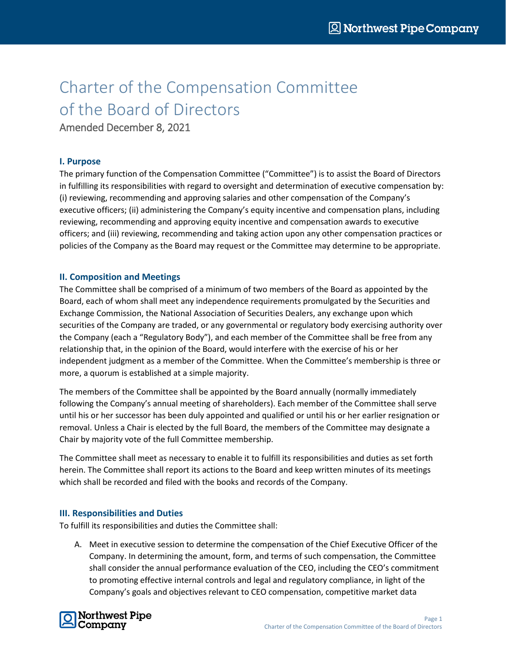## Charter of the Compensation Committee of the Board of Directors

Amended December 8, 2021

## **I. Purpose**

The primary function of the Compensation Committee ("Committee") is to assist the Board of Directors in fulfilling its responsibilities with regard to oversight and determination of executive compensation by: (i) reviewing, recommending and approving salaries and other compensation of the Company's executive officers; (ii) administering the Company's equity incentive and compensation plans, including reviewing, recommending and approving equity incentive and compensation awards to executive officers; and (iii) reviewing, recommending and taking action upon any other compensation practices or policies of the Company as the Board may request or the Committee may determine to be appropriate.

## **II. Composition and Meetings**

The Committee shall be comprised of a minimum of two members of the Board as appointed by the Board, each of whom shall meet any independence requirements promulgated by the Securities and Exchange Commission, the National Association of Securities Dealers, any exchange upon which securities of the Company are traded, or any governmental or regulatory body exercising authority over the Company (each a "Regulatory Body"), and each member of the Committee shall be free from any relationship that, in the opinion of the Board, would interfere with the exercise of his or her independent judgment as a member of the Committee. When the Committee's membership is three or more, a quorum is established at a simple majority.

The members of the Committee shall be appointed by the Board annually (normally immediately following the Company's annual meeting of shareholders). Each member of the Committee shall serve until his or her successor has been duly appointed and qualified or until his or her earlier resignation or removal. Unless a Chair is elected by the full Board, the members of the Committee may designate a Chair by majority vote of the full Committee membership.

The Committee shall meet as necessary to enable it to fulfill its responsibilities and duties as set forth herein. The Committee shall report its actions to the Board and keep written minutes of its meetings which shall be recorded and filed with the books and records of the Company.

## **III. Responsibilities and Duties**

To fulfill its responsibilities and duties the Committee shall:

A. Meet in executive session to determine the compensation of the Chief Executive Officer of the Company. In determining the amount, form, and terms of such compensation, the Committee shall consider the annual performance evaluation of the CEO, including the CEO's commitment to promoting effective internal controls and legal and regulatory compliance, in light of the Company's goals and objectives relevant to CEO compensation, competitive market data

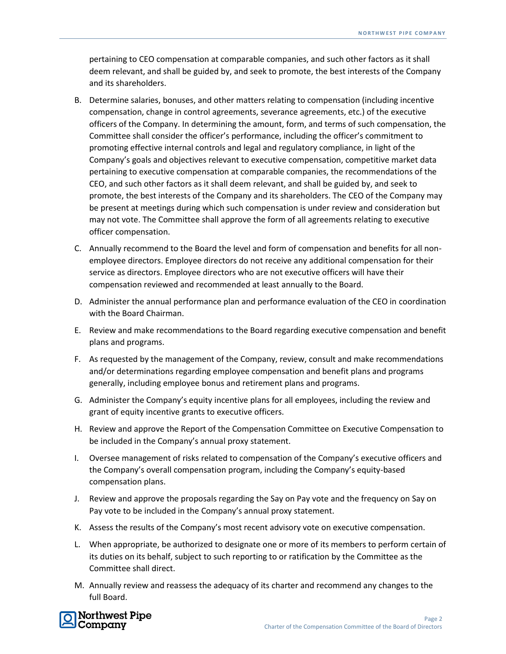pertaining to CEO compensation at comparable companies, and such other factors as it shall deem relevant, and shall be guided by, and seek to promote, the best interests of the Company and its shareholders.

- B. Determine salaries, bonuses, and other matters relating to compensation (including incentive compensation, change in control agreements, severance agreements, etc.) of the executive officers of the Company. In determining the amount, form, and terms of such compensation, the Committee shall consider the officer's performance, including the officer's commitment to promoting effective internal controls and legal and regulatory compliance, in light of the Company's goals and objectives relevant to executive compensation, competitive market data pertaining to executive compensation at comparable companies, the recommendations of the CEO, and such other factors as it shall deem relevant, and shall be guided by, and seek to promote, the best interests of the Company and its shareholders. The CEO of the Company may be present at meetings during which such compensation is under review and consideration but may not vote. The Committee shall approve the form of all agreements relating to executive officer compensation.
- C. Annually recommend to the Board the level and form of compensation and benefits for all nonemployee directors. Employee directors do not receive any additional compensation for their service as directors. Employee directors who are not executive officers will have their compensation reviewed and recommended at least annually to the Board.
- D. Administer the annual performance plan and performance evaluation of the CEO in coordination with the Board Chairman.
- E. Review and make recommendations to the Board regarding executive compensation and benefit plans and programs.
- F. As requested by the management of the Company, review, consult and make recommendations and/or determinations regarding employee compensation and benefit plans and programs generally, including employee bonus and retirement plans and programs.
- G. Administer the Company's equity incentive plans for all employees, including the review and grant of equity incentive grants to executive officers.
- H. Review and approve the Report of the Compensation Committee on Executive Compensation to be included in the Company's annual proxy statement.
- I. Oversee management of risks related to compensation of the Company's executive officers and the Company's overall compensation program, including the Company's equity-based compensation plans.
- J. Review and approve the proposals regarding the Say on Pay vote and the frequency on Say on Pay vote to be included in the Company's annual proxy statement.
- K. Assess the results of the Company's most recent advisory vote on executive compensation.
- L. When appropriate, be authorized to designate one or more of its members to perform certain of its duties on its behalf, subject to such reporting to or ratification by the Committee as the Committee shall direct.
- M. Annually review and reassess the adequacy of its charter and recommend any changes to the full Board.